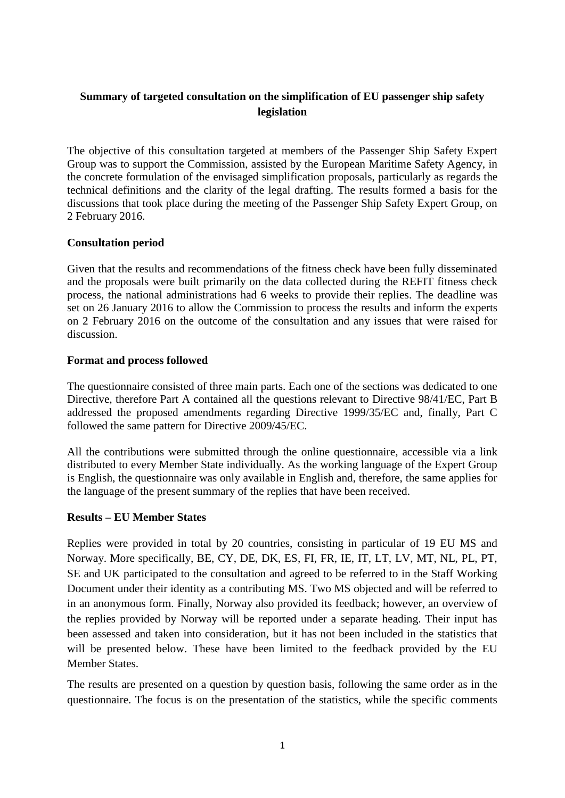# **Summary of targeted consultation on the simplification of EU passenger ship safety legislation**

The objective of this consultation targeted at members of the Passenger Ship Safety Expert Group was to support the Commission, assisted by the European Maritime Safety Agency, in the concrete formulation of the envisaged simplification proposals, particularly as regards the technical definitions and the clarity of the legal drafting. The results formed a basis for the discussions that took place during the meeting of the Passenger Ship Safety Expert Group, on 2 February 2016.

### **Consultation period**

Given that the results and recommendations of the fitness check have been fully disseminated and the proposals were built primarily on the data collected during the REFIT fitness check process, the national administrations had 6 weeks to provide their replies. The deadline was set on 26 January 2016 to allow the Commission to process the results and inform the experts on 2 February 2016 on the outcome of the consultation and any issues that were raised for discussion.

### **Format and process followed**

The questionnaire consisted of three main parts. Each one of the sections was dedicated to one Directive, therefore Part A contained all the questions relevant to Directive 98/41/EC, Part B addressed the proposed amendments regarding Directive 1999/35/EC and, finally, Part C followed the same pattern for Directive 2009/45/EC.

All the contributions were submitted through the online questionnaire, accessible via a link distributed to every Member State individually. As the working language of the Expert Group is English, the questionnaire was only available in English and, therefore, the same applies for the language of the present summary of the replies that have been received.

### **Results – EU Member States**

Replies were provided in total by 20 countries, consisting in particular of 19 EU MS and Norway. More specifically, BE, CY, DE, DK, ES, FI, FR, IE, IT, LT, LV, MT, NL, PL, PT, SE and UK participated to the consultation and agreed to be referred to in the Staff Working Document under their identity as a contributing MS. Two MS objected and will be referred to in an anonymous form. Finally, Norway also provided its feedback; however, an overview of the replies provided by Norway will be reported under a separate heading. Their input has been assessed and taken into consideration, but it has not been included in the statistics that will be presented below. These have been limited to the feedback provided by the EU Member States.

The results are presented on a question by question basis, following the same order as in the questionnaire. The focus is on the presentation of the statistics, while the specific comments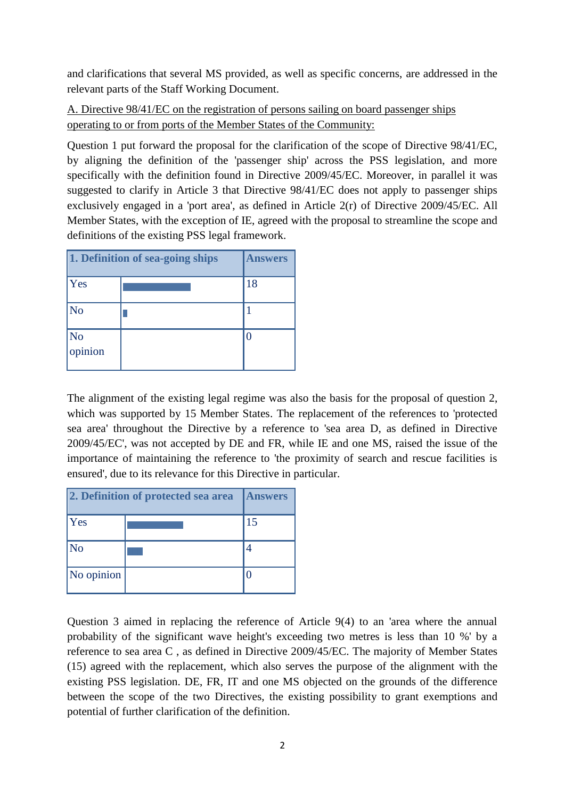and clarifications that several MS provided, as well as specific concerns, are addressed in the relevant parts of the Staff Working Document.

A. Directive 98/41/EC on the registration of persons sailing on board passenger ships operating to or from ports of the Member States of the Community:

Question 1 put forward the proposal for the clarification of the scope of Directive 98/41/EC, by aligning the definition of the 'passenger ship' across the PSS legislation, and more specifically with the definition found in Directive 2009/45/EC. Moreover, in parallel it was suggested to clarify in Article 3 that Directive 98/41/EC does not apply to passenger ships exclusively engaged in a 'port area', as defined in Article 2(r) of Directive 2009/45/EC. All Member States, with the exception of IE, agreed with the proposal to streamline the scope and definitions of the existing PSS legal framework.

|                                   | 1. Definition of sea-going ships | <b>Answers</b> |
|-----------------------------------|----------------------------------|----------------|
| <b>Yes</b>                        |                                  | 18             |
| $\overline{\text{No}}$            |                                  |                |
| $\overline{\text{No}}$<br>opinion |                                  |                |

The alignment of the existing legal regime was also the basis for the proposal of question 2, which was supported by 15 Member States. The replacement of the references to 'protected sea area' throughout the Directive by a reference to 'sea area D, as defined in Directive 2009/45/EC', was not accepted by DE and FR, while IE and one MS, raised the issue of the importance of maintaining the reference to 'the proximity of search and rescue facilities is ensured', due to its relevance for this Directive in particular.

|                             | 2. Definition of protected sea area | <b>Answers</b> |
|-----------------------------|-------------------------------------|----------------|
| Yes                         |                                     | 15             |
| $\overline{\rm\mathsf{No}}$ |                                     |                |
| No opinion                  |                                     |                |

Question 3 aimed in replacing the reference of Article 9(4) to an 'area where the annual probability of the significant wave height's exceeding two metres is less than 10 %' by a reference to sea area C , as defined in Directive 2009/45/EC. The majority of Member States (15) agreed with the replacement, which also serves the purpose of the alignment with the existing PSS legislation. DE, FR, IT and one MS objected on the grounds of the difference between the scope of the two Directives, the existing possibility to grant exemptions and potential of further clarification of the definition.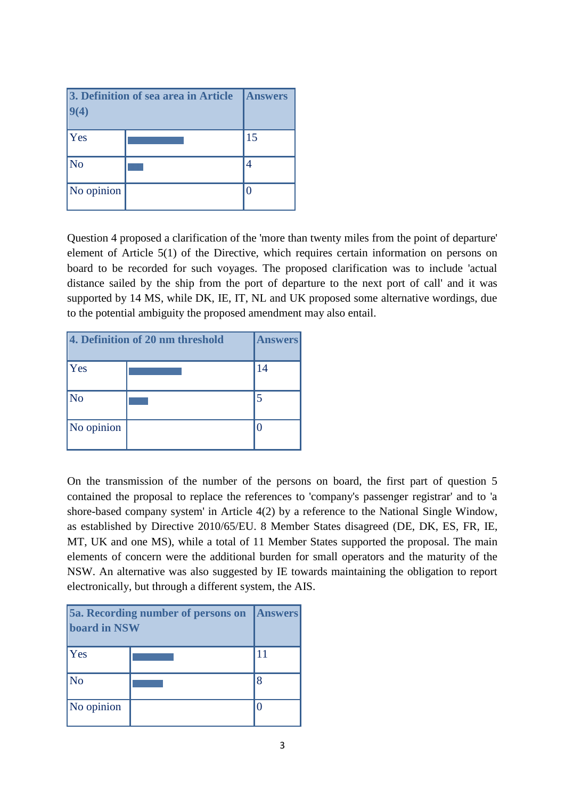| $\mathbf{A}$           | 3. Definition of sea area in Article | <b>Answers</b> |
|------------------------|--------------------------------------|----------------|
| <b>Yes</b>             |                                      | 15             |
| $\overline{\text{No}}$ |                                      |                |
| No opinion             |                                      |                |

Question 4 proposed a clarification of the 'more than twenty miles from the point of departure' element of Article 5(1) of the Directive, which requires certain information on persons on board to be recorded for such voyages. The proposed clarification was to include 'actual distance sailed by the ship from the port of departure to the next port of call' and it was supported by 14 MS, while DK, IE, IT, NL and UK proposed some alternative wordings, due to the potential ambiguity the proposed amendment may also entail.

|                        | 4. Definition of 20 nm threshold | <b>Answers</b> |
|------------------------|----------------------------------|----------------|
| Yes                    |                                  | 14             |
| $\overline{\text{No}}$ |                                  |                |
| No opinion             |                                  |                |

On the transmission of the number of the persons on board, the first part of question 5 contained the proposal to replace the references to 'company's passenger registrar' and to 'a shore-based company system' in Article 4(2) by a reference to the National Single Window, as established by Directive 2010/65/EU. 8 Member States disagreed (DE, DK, ES, FR, IE, MT, UK and one MS), while a total of 11 Member States supported the proposal. The main elements of concern were the additional burden for small operators and the maturity of the NSW. An alternative was also suggested by IE towards maintaining the obligation to report electronically, but through a different system, the AIS.

| <b>board in NSW</b>         | 5a. Recording number of persons on | <b>Answers</b> |
|-----------------------------|------------------------------------|----------------|
| Yes                         |                                    | 11             |
| $\overline{\rm\mathbf{No}}$ |                                    |                |
| No opinion                  |                                    |                |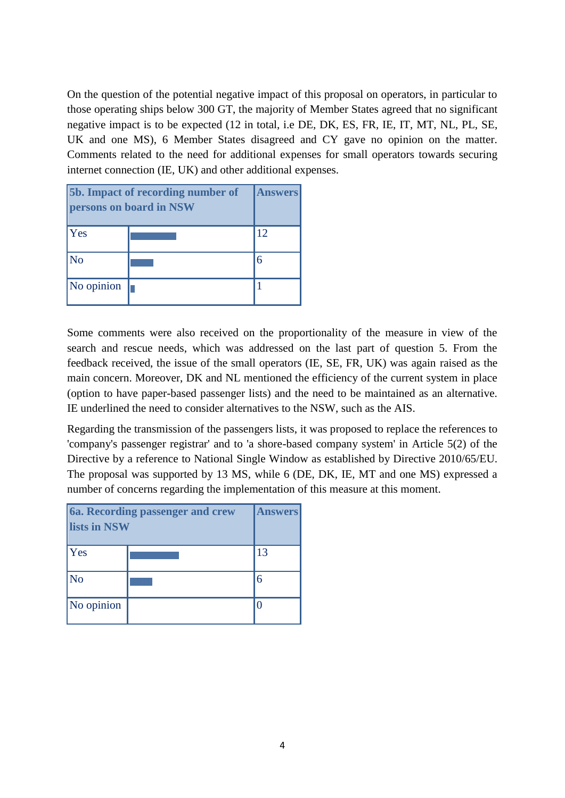On the question of the potential negative impact of this proposal on operators, in particular to those operating ships below 300 GT, the majority of Member States agreed that no significant negative impact is to be expected (12 in total, i.e DE, DK, ES, FR, IE, IT, MT, NL, PL, SE, UK and one MS), 6 Member States disagreed and CY gave no opinion on the matter. Comments related to the need for additional expenses for small operators towards securing internet connection (IE, UK) and other additional expenses.

| 5b. Impact of recording number of<br>persons on board in NSW |  | <b>Answers</b> |
|--------------------------------------------------------------|--|----------------|
| Yes                                                          |  | 12             |
| $\overline{\text{No}}$                                       |  | 6              |
| No opinion                                                   |  |                |

Some comments were also received on the proportionality of the measure in view of the search and rescue needs, which was addressed on the last part of question 5. From the feedback received, the issue of the small operators (IE, SE, FR, UK) was again raised as the main concern. Moreover, DK and NL mentioned the efficiency of the current system in place (option to have paper-based passenger lists) and the need to be maintained as an alternative. IE underlined the need to consider alternatives to the NSW, such as the AIS.

Regarding the transmission of the passengers lists, it was proposed to replace the references to 'company's passenger registrar' and to 'a shore-based company system' in Article 5(2) of the Directive by a reference to National Single Window as established by Directive 2010/65/EU. The proposal was supported by 13 MS, while 6 (DE, DK, IE, MT and one MS) expressed a number of concerns regarding the implementation of this measure at this moment.

| lists in NSW        | 6a. Recording passenger and crew | <b>Answers</b> |
|---------------------|----------------------------------|----------------|
| Yes                 |                                  | 13             |
| $\overline{\rm No}$ |                                  |                |
| No opinion          |                                  |                |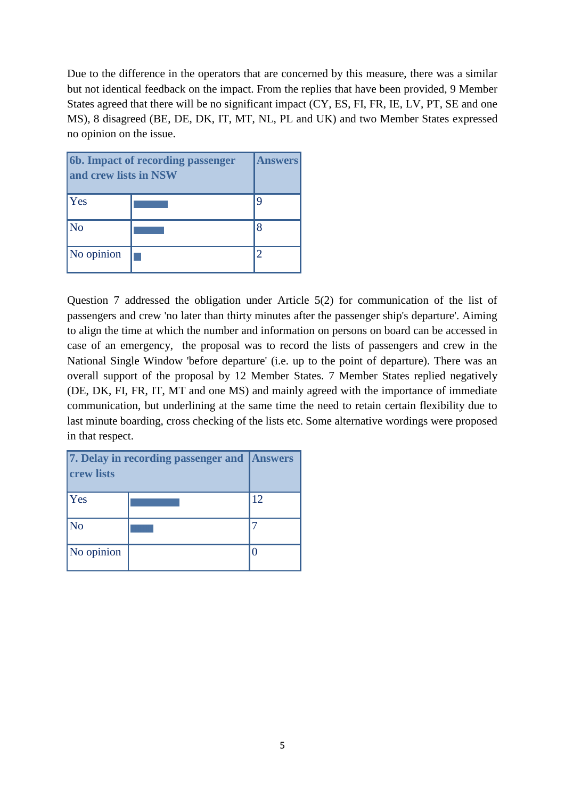Due to the difference in the operators that are concerned by this measure, there was a similar but not identical feedback on the impact. From the replies that have been provided, 9 Member States agreed that there will be no significant impact (CY, ES, FI, FR, IE, LV, PT, SE and one MS), 8 disagreed (BE, DE, DK, IT, MT, NL, PL and UK) and two Member States expressed no opinion on the issue.

| 6b. Impact of recording passenger<br>and crew lists in NSW |  | <b>Answers</b> |
|------------------------------------------------------------|--|----------------|
| <b>Yes</b>                                                 |  |                |
| $\overline{\text{No}}$                                     |  |                |
| No opinion                                                 |  |                |

Question 7 addressed the obligation under Article 5(2) for communication of the list of passengers and crew 'no later than thirty minutes after the passenger ship's departure'. Aiming to align the time at which the number and information on persons on board can be accessed in case of an emergency, the proposal was to record the lists of passengers and crew in the National Single Window 'before departure' (i.e. up to the point of departure). There was an overall support of the proposal by 12 Member States. 7 Member States replied negatively (DE, DK, FI, FR, IT, MT and one MS) and mainly agreed with the importance of immediate communication, but underlining at the same time the need to retain certain flexibility due to last minute boarding, cross checking of the lists etc. Some alternative wordings were proposed in that respect.

| 7. Delay in recording passenger and Answers<br><b>crew lists</b> |  |          |
|------------------------------------------------------------------|--|----------|
| Yes                                                              |  | 12       |
| $\overline{\rm No}$                                              |  |          |
| No opinion                                                       |  | $\Omega$ |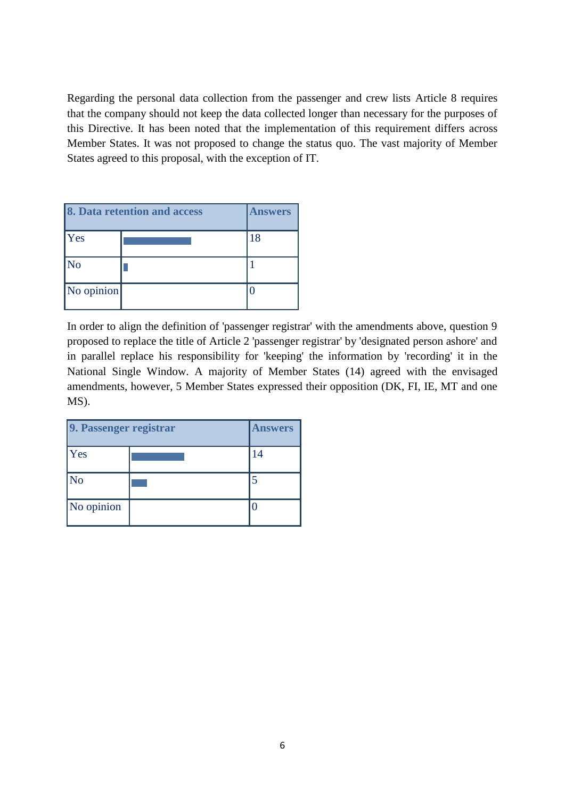Regarding the personal data collection from the passenger and crew lists Article 8 requires that the company should not keep the data collected longer than necessary for the purposes of this Directive. It has been noted that the implementation of this requirement differs across Member States. It was not proposed to change the status quo. The vast majority of Member States agreed to this proposal, with the exception of IT.

|            | 8. Data retention and access | <b>Answers</b> |
|------------|------------------------------|----------------|
| <b>Yes</b> |                              | 18             |
| No         |                              |                |
| No opinion |                              |                |

In order to align the definition of 'passenger registrar' with the amendments above, question 9 proposed to replace the title of Article 2 'passenger registrar' by 'designated person ashore' and in parallel replace his responsibility for 'keeping' the information by 'recording' it in the National Single Window. A majority of Member States (14) agreed with the envisaged amendments, however, 5 Member States expressed their opposition (DK, FI, IE, MT and one MS).

| 9. Passenger registrar | <b>Answers</b> |
|------------------------|----------------|
| Yes                    | 14             |
| No                     |                |
| No opinion             | 0              |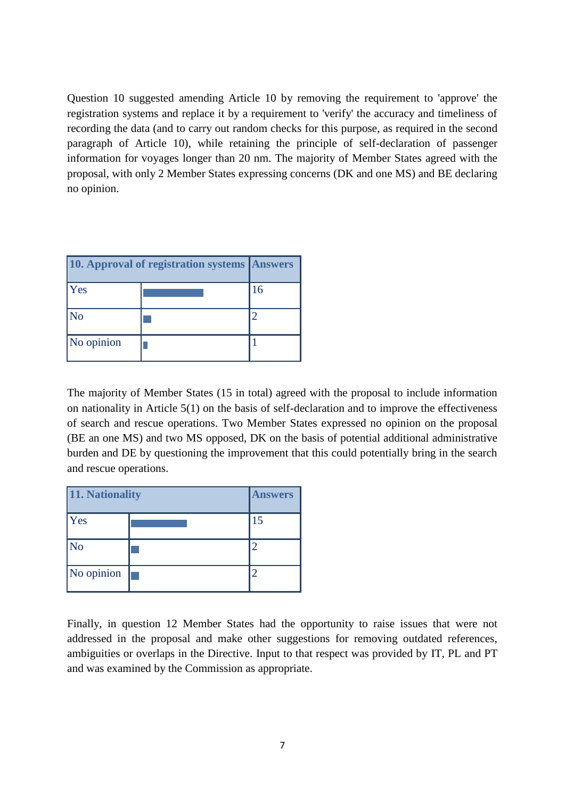Question 10 suggested amending Article 10 by removing the requirement to 'approve' the registration systems and replace it by a requirement to 'verify' the accuracy and timeliness of recording the data (and to carry out random checks for this purpose, as required in the second paragraph of Article 10), while retaining the principle of self-declaration of passenger information for voyages longer than 20 nm. The majority of Member States agreed with the proposal, with only 2 Member States expressing concerns (DK and one MS) and BE declaring no opinion.

|            | <b>10. Approval of registration systems Answers</b> |    |
|------------|-----------------------------------------------------|----|
| Yes        |                                                     | 16 |
| No         |                                                     |    |
| No opinion |                                                     |    |

The majority of Member States (15 in total) agreed with the proposal to include information on nationality in Article 5(1) on the basis of self-declaration and to improve the effectiveness of search and rescue operations. Two Member States expressed no opinion on the proposal (BE an one MS) and two MS opposed, DK on the basis of potential additional administrative burden and DE by questioning the improvement that this could potentially bring in the search and rescue operations.

| 11. Nationality     |  | <b>Answers</b> |
|---------------------|--|----------------|
| <b>Yes</b>          |  | 15             |
| $\overline{\rm No}$ |  | $\overline{2}$ |
| No opinion          |  | 2              |

Finally, in question 12 Member States had the opportunity to raise issues that were not addressed in the proposal and make other suggestions for removing outdated references, ambiguities or overlaps in the Directive. Input to that respect was provided by IT, PL and PT and was examined by the Commission as appropriate.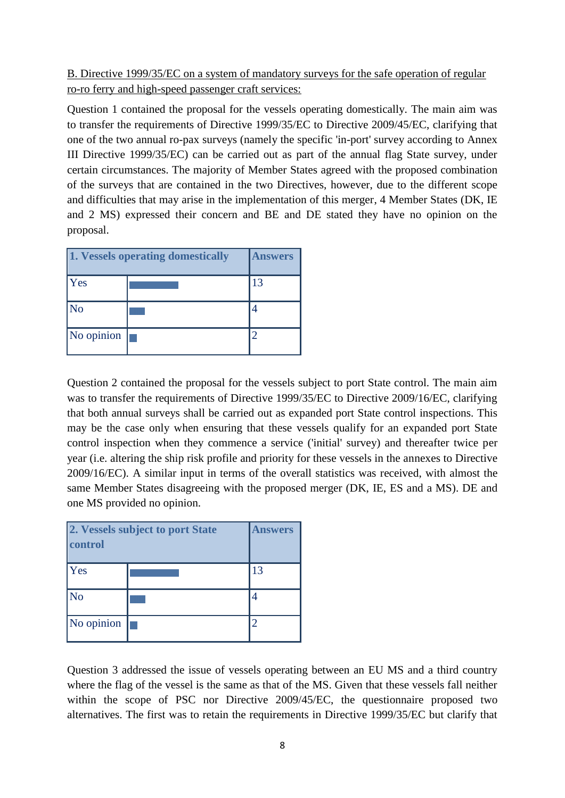# B. Directive 1999/35/EC on a system of mandatory surveys for the safe operation of regular ro-ro ferry and high-speed passenger craft services:

Question 1 contained the proposal for the vessels operating domestically. The main aim was to transfer the requirements of Directive 1999/35/EC to Directive 2009/45/EC, clarifying that one of the two annual ro-pax surveys (namely the specific 'in-port' survey according to Annex III Directive 1999/35/EC) can be carried out as part of the annual flag State survey, under certain circumstances. The majority of Member States agreed with the proposed combination of the surveys that are contained in the two Directives, however, due to the different scope and difficulties that may arise in the implementation of this merger, 4 Member States (DK, IE and 2 MS) expressed their concern and BE and DE stated they have no opinion on the proposal.

| 1. Vessels operating domestically |  | <b>Answers</b> |
|-----------------------------------|--|----------------|
| <b>Yes</b>                        |  | 13             |
| $\overline{\rm No}$               |  |                |
| No opinion                        |  |                |

Question 2 contained the proposal for the vessels subject to port State control. The main aim was to transfer the requirements of Directive 1999/35/EC to Directive 2009/16/EC, clarifying that both annual surveys shall be carried out as expanded port State control inspections. This may be the case only when ensuring that these vessels qualify for an expanded port State control inspection when they commence a service ('initial' survey) and thereafter twice per year (i.e. altering the ship risk profile and priority for these vessels in the annexes to Directive 2009/16/EC). A similar input in terms of the overall statistics was received, with almost the same Member States disagreeing with the proposed merger (DK, IE, ES and a MS). DE and one MS provided no opinion.

| 2. Vessels subject to port State<br>control |  | <b>Answers</b> |
|---------------------------------------------|--|----------------|
| Yes                                         |  | 13             |
| $\overline{\rm No}$                         |  |                |
| No opinion                                  |  |                |

Question 3 addressed the issue of vessels operating between an EU MS and a third country where the flag of the vessel is the same as that of the MS. Given that these vessels fall neither within the scope of PSC nor Directive 2009/45/EC, the questionnaire proposed two alternatives. The first was to retain the requirements in Directive 1999/35/EC but clarify that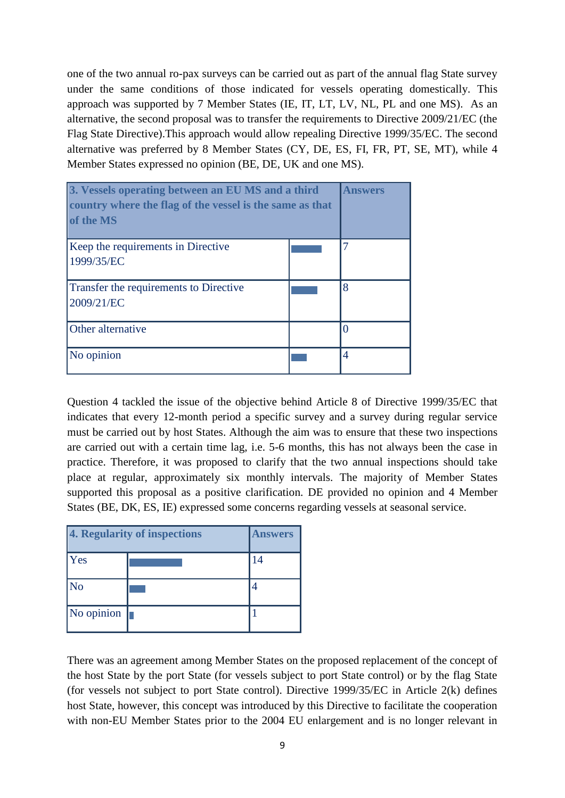one of the two annual ro-pax surveys can be carried out as part of the annual flag State survey under the same conditions of those indicated for vessels operating domestically. This approach was supported by 7 Member States (IE, IT, LT, LV, NL, PL and one MS). As an alternative, the second proposal was to transfer the requirements to Directive 2009/21/EC (the Flag State Directive).This approach would allow repealing Directive 1999/35/EC. The second alternative was preferred by 8 Member States (CY, DE, ES, FI, FR, PT, SE, MT), while 4 Member States expressed no opinion (BE, DE, UK and one MS).



Question 4 tackled the issue of the objective behind Article 8 of Directive 1999/35/EC that indicates that every 12-month period a specific survey and a survey during regular service must be carried out by host States. Although the aim was to ensure that these two inspections are carried out with a certain time lag, i.e. 5-6 months, this has not always been the case in practice. Therefore, it was proposed to clarify that the two annual inspections should take place at regular, approximately six monthly intervals. The majority of Member States supported this proposal as a positive clarification. DE provided no opinion and 4 Member States (BE, DK, ES, IE) expressed some concerns regarding vessels at seasonal service.

| 4. Regularity of inspections |  | <b>Answers</b> |
|------------------------------|--|----------------|
| <b>Yes</b>                   |  | 14             |
| $\overline{\rm No}$          |  |                |
| No opinion $\ $              |  |                |

There was an agreement among Member States on the proposed replacement of the concept of the host State by the port State (for vessels subject to port State control) or by the flag State (for vessels not subject to port State control). Directive 1999/35/EC in Article 2(k) defines host State, however, this concept was introduced by this Directive to facilitate the cooperation with non-EU Member States prior to the 2004 EU enlargement and is no longer relevant in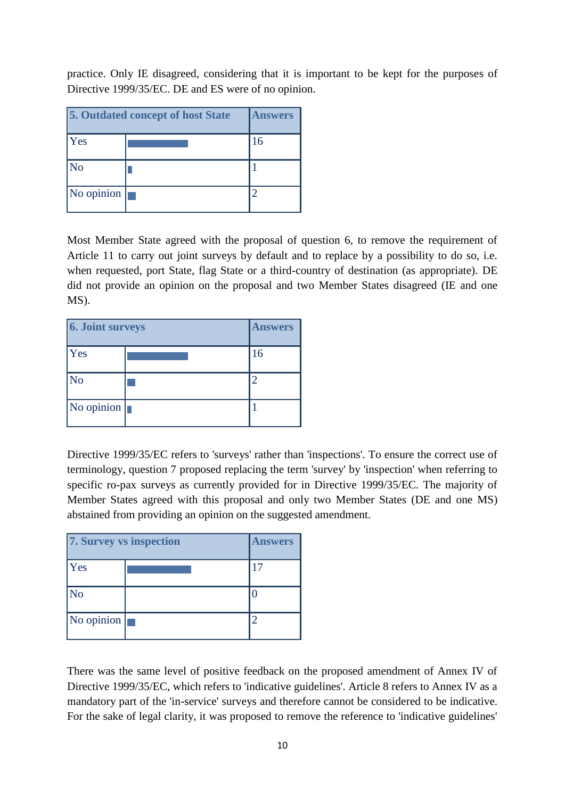practice. Only IE disagreed, considering that it is important to be kept for the purposes of Directive 1999/35/EC. DE and ES were of no opinion.

|                        | <b>5. Outdated concept of host State</b> | <b>Answers</b> |
|------------------------|------------------------------------------|----------------|
| <b>Yes</b>             |                                          | 16             |
| $\overline{\rm No}$    |                                          |                |
| No opinion $\parallel$ |                                          |                |

Most Member State agreed with the proposal of question 6, to remove the requirement of Article 11 to carry out joint surveys by default and to replace by a possibility to do so, i.e. when requested, port State, flag State or a third-country of destination (as appropriate). DE did not provide an opinion on the proposal and two Member States disagreed (IE and one MS).

| <b>6. Joint surveys</b> |  | <b>Answers</b> |
|-------------------------|--|----------------|
| Yes                     |  | 16             |
| $\overline{\text{No}}$  |  |                |
| No opinion              |  |                |

Directive 1999/35/EC refers to 'surveys' rather than 'inspections'. To ensure the correct use of terminology, question 7 proposed replacing the term 'survey' by 'inspection' when referring to specific ro-pax surveys as currently provided for in Directive 1999/35/EC. The majority of Member States agreed with this proposal and only two Member States (DE and one MS) abstained from providing an opinion on the suggested amendment.

| 7. Survey vs inspection |  | <b>Answers</b> |
|-------------------------|--|----------------|
| <b>Yes</b>              |  | 17             |
| $\overline{\rm No}$     |  |                |
| No opinion              |  |                |

There was the same level of positive feedback on the proposed amendment of Annex IV of Directive 1999/35/EC, which refers to 'indicative guidelines'. Article 8 refers to Annex IV as a mandatory part of the 'in-service' surveys and therefore cannot be considered to be indicative. For the sake of legal clarity, it was proposed to remove the reference to 'indicative guidelines'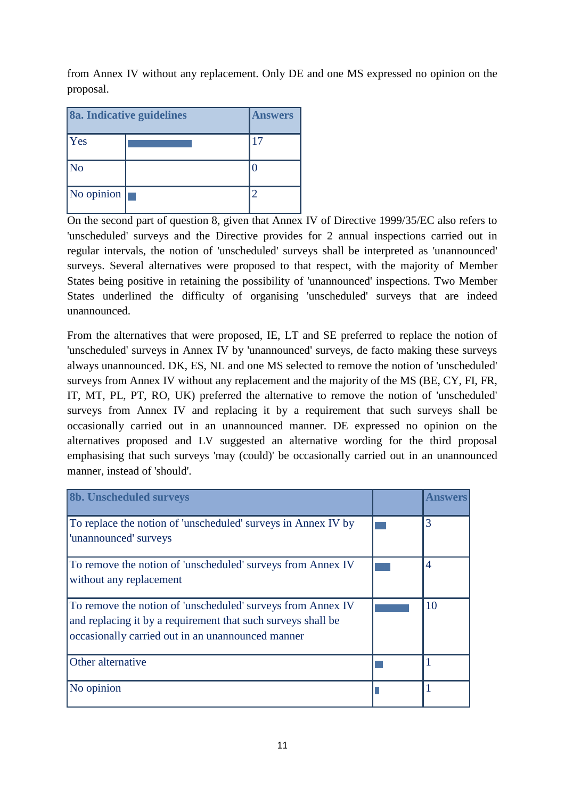from Annex IV without any replacement. Only DE and one MS expressed no opinion on the proposal.

| 8a. Indicative guidelines |  | <b>Answers</b> |
|---------------------------|--|----------------|
| Yes                       |  | 17             |
| $\overline{\rm No}$       |  |                |
| No opinion                |  |                |

On the second part of question 8, given that Annex IV of Directive 1999/35/EC also refers to 'unscheduled' surveys and the Directive provides for 2 annual inspections carried out in regular intervals, the notion of 'unscheduled' surveys shall be interpreted as 'unannounced' surveys. Several alternatives were proposed to that respect, with the majority of Member States being positive in retaining the possibility of 'unannounced' inspections. Two Member States underlined the difficulty of organising 'unscheduled' surveys that are indeed unannounced.

From the alternatives that were proposed, IE, LT and SE preferred to replace the notion of 'unscheduled' surveys in Annex IV by 'unannounced' surveys, de facto making these surveys always unannounced. DK, ES, NL and one MS selected to remove the notion of 'unscheduled' surveys from Annex IV without any replacement and the majority of the MS (BE, CY, FI, FR, IT, MT, PL, PT, RO, UK) preferred the alternative to remove the notion of 'unscheduled' surveys from Annex IV and replacing it by a requirement that such surveys shall be occasionally carried out in an unannounced manner. DE expressed no opinion on the alternatives proposed and LV suggested an alternative wording for the third proposal emphasising that such surveys 'may (could)' be occasionally carried out in an unannounced manner, instead of 'should'.

| <b>8b. Unscheduled surveys</b>                                                                                                                                                   | A newar        |
|----------------------------------------------------------------------------------------------------------------------------------------------------------------------------------|----------------|
| To replace the notion of 'unscheduled' surveys in Annex IV by<br>'unannounced' surveys                                                                                           | 3              |
| To remove the notion of 'unscheduled' surveys from Annex IV<br>without any replacement                                                                                           | $\overline{4}$ |
| To remove the notion of 'unscheduled' surveys from Annex IV<br>and replacing it by a requirement that such surveys shall be<br>occasionally carried out in an unannounced manner | 10             |
| Other alternative                                                                                                                                                                |                |
| No opinion                                                                                                                                                                       |                |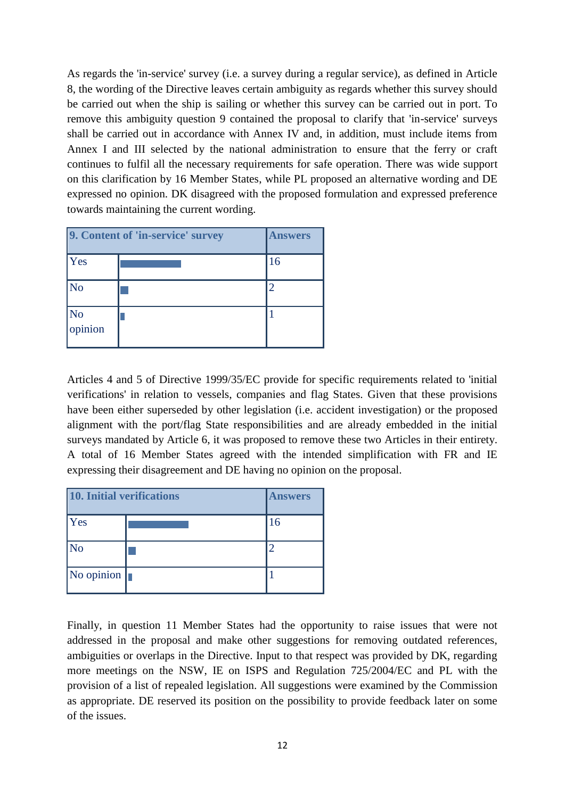As regards the 'in-service' survey (i.e. a survey during a regular service), as defined in Article 8, the wording of the Directive leaves certain ambiguity as regards whether this survey should be carried out when the ship is sailing or whether this survey can be carried out in port. To remove this ambiguity question 9 contained the proposal to clarify that 'in-service' surveys shall be carried out in accordance with Annex IV and, in addition, must include items from Annex I and III selected by the national administration to ensure that the ferry or craft continues to fulfil all the necessary requirements for safe operation. There was wide support on this clarification by 16 Member States, while PL proposed an alternative wording and DE expressed no opinion. DK disagreed with the proposed formulation and expressed preference towards maintaining the current wording.

|                        | 9. Content of 'in-service' survey | <b>Answers</b> |
|------------------------|-----------------------------------|----------------|
| <b>Yes</b>             |                                   | 16             |
| $\overline{\text{No}}$ |                                   | 2              |
| No<br>opinion          |                                   |                |

Articles 4 and 5 of Directive 1999/35/EC provide for specific requirements related to 'initial verifications' in relation to vessels, companies and flag States. Given that these provisions have been either superseded by other legislation (i.e. accident investigation) or the proposed alignment with the port/flag State responsibilities and are already embedded in the initial surveys mandated by Article 6, it was proposed to remove these two Articles in their entirety. A total of 16 Member States agreed with the intended simplification with FR and IE expressing their disagreement and DE having no opinion on the proposal.

| 10. Initial verifications |  | <b>Answers</b> |
|---------------------------|--|----------------|
| Yes                       |  | 16             |
| $\overline{\rm No}$       |  |                |
| No opinion $\ $           |  |                |

Finally, in question 11 Member States had the opportunity to raise issues that were not addressed in the proposal and make other suggestions for removing outdated references, ambiguities or overlaps in the Directive. Input to that respect was provided by DK, regarding more meetings on the NSW, IE on ISPS and Regulation 725/2004/EC and PL with the provision of a list of repealed legislation. All suggestions were examined by the Commission as appropriate. DE reserved its position on the possibility to provide feedback later on some of the issues.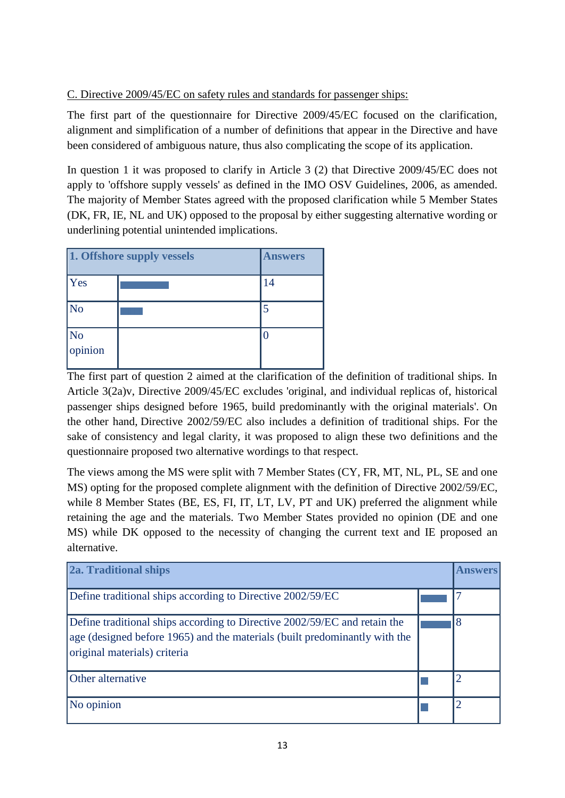## C. Directive 2009/45/EC on safety rules and standards for passenger ships:

The first part of the questionnaire for Directive 2009/45/EC focused on the clarification, alignment and simplification of a number of definitions that appear in the Directive and have been considered of ambiguous nature, thus also complicating the scope of its application.

In question 1 it was proposed to clarify in Article 3 (2) that Directive 2009/45/EC does not apply to 'offshore supply vessels' as defined in the IMO OSV Guidelines, 2006, as amended. The majority of Member States agreed with the proposed clarification while 5 Member States (DK, FR, IE, NL and UK) opposed to the proposal by either suggesting alternative wording or underlining potential unintended implications.

| 1. Offshore supply vessels  |  | <b>Answers</b> |
|-----------------------------|--|----------------|
| <b>Yes</b>                  |  | 14             |
| No                          |  | 5              |
| $\overline{N_0}$<br>opinion |  |                |

The first part of question 2 aimed at the clarification of the definition of traditional ships. In Article 3(2a)v, Directive 2009/45/EC excludes 'original, and individual replicas of, historical passenger ships designed before 1965, build predominantly with the original materials'. On the other hand, Directive 2002/59/EC also includes a definition of traditional ships. For the sake of consistency and legal clarity, it was proposed to align these two definitions and the questionnaire proposed two alternative wordings to that respect.

The views among the MS were split with 7 Member States (CY, FR, MT, NL, PL, SE and one MS) opting for the proposed complete alignment with the definition of Directive 2002/59/EC, while 8 Member States (BE, ES, FI, IT, LT, LV, PT and UK) preferred the alignment while retaining the age and the materials. Two Member States provided no opinion (DE and one MS) while DK opposed to the necessity of changing the current text and IE proposed an alternative.

| 2a. Traditional ships                                                                                                                                                                   |  |   |
|-----------------------------------------------------------------------------------------------------------------------------------------------------------------------------------------|--|---|
| Define traditional ships according to Directive 2002/59/EC                                                                                                                              |  |   |
| Define traditional ships according to Directive 2002/59/EC and retain the<br>age (designed before 1965) and the materials (built predominantly with the<br>original materials) criteria |  | 8 |
| Other alternative                                                                                                                                                                       |  | ာ |
| No opinion                                                                                                                                                                              |  | っ |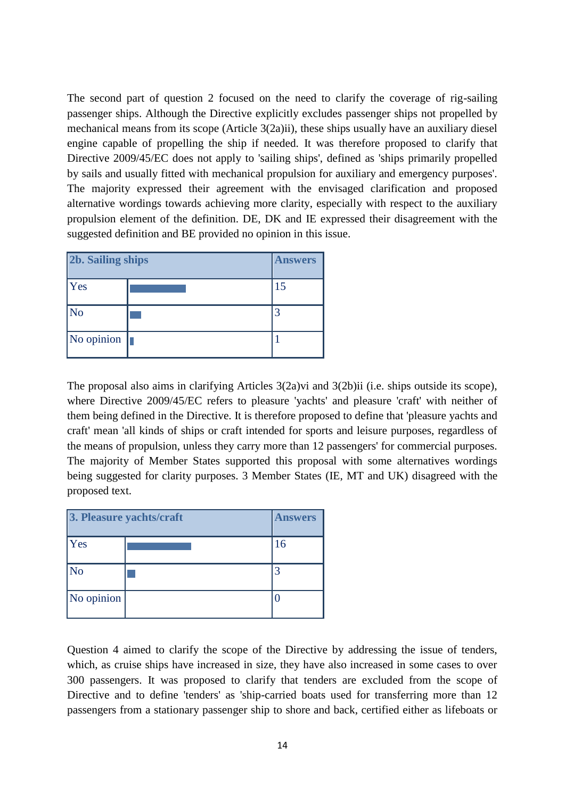The second part of question 2 focused on the need to clarify the coverage of rig-sailing passenger ships. Although the Directive explicitly excludes passenger ships not propelled by mechanical means from its scope (Article 3(2a)ii), these ships usually have an auxiliary diesel engine capable of propelling the ship if needed. It was therefore proposed to clarify that Directive 2009/45/EC does not apply to 'sailing ships', defined as 'ships primarily propelled by sails and usually fitted with mechanical propulsion for auxiliary and emergency purposes'. The majority expressed their agreement with the envisaged clarification and proposed alternative wordings towards achieving more clarity, especially with respect to the auxiliary propulsion element of the definition. DE, DK and IE expressed their disagreement with the suggested definition and BE provided no opinion in this issue.

| <b>2b. Sailing ships</b> |    | <b>Answers</b> |
|--------------------------|----|----------------|
| Yes                      |    | 15             |
| $\overline{\text{No}}$   |    |                |
| No opinion               | IT |                |

The proposal also aims in clarifying Articles 3(2a)vi and 3(2b)ii (i.e. ships outside its scope), where Directive 2009/45/EC refers to pleasure 'yachts' and pleasure 'craft' with neither of them being defined in the Directive. It is therefore proposed to define that 'pleasure yachts and craft' mean 'all kinds of ships or craft intended for sports and leisure purposes, regardless of the means of propulsion, unless they carry more than 12 passengers' for commercial purposes. The majority of Member States supported this proposal with some alternatives wordings being suggested for clarity purposes. 3 Member States (IE, MT and UK) disagreed with the proposed text.

| 3. Pleasure yachts/craft |  | <b>Answers</b> |
|--------------------------|--|----------------|
| <b>Yes</b>               |  | 16             |
| $\overline{\text{No}}$   |  |                |
| No opinion               |  |                |

Question 4 aimed to clarify the scope of the Directive by addressing the issue of tenders, which, as cruise ships have increased in size, they have also increased in some cases to over 300 passengers. It was proposed to clarify that tenders are excluded from the scope of Directive and to define 'tenders' as 'ship-carried boats used for transferring more than 12 passengers from a stationary passenger ship to shore and back, certified either as lifeboats or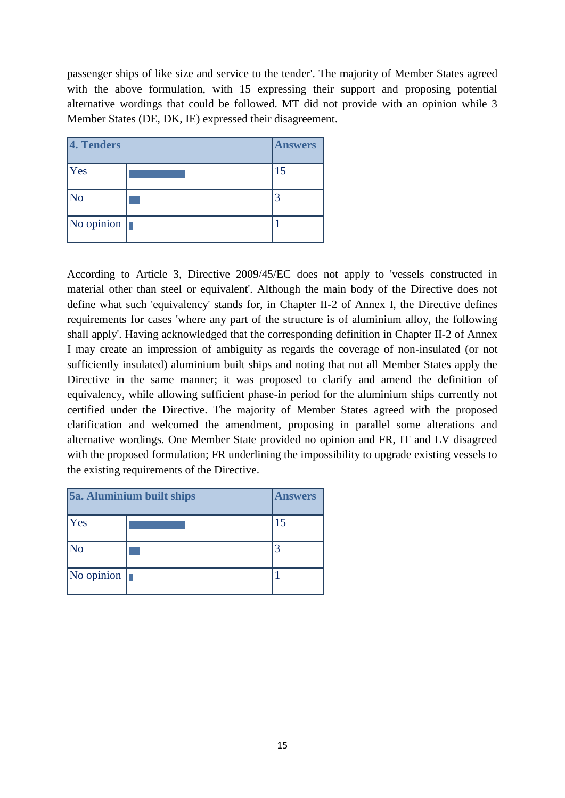passenger ships of like size and service to the tender'. The majority of Member States agreed with the above formulation, with 15 expressing their support and proposing potential alternative wordings that could be followed. MT did not provide with an opinion while 3 Member States (DE, DK, IE) expressed their disagreement.

| 4. Tenders             | <b>Answers</b> |
|------------------------|----------------|
| Yes                    | 15             |
| $\overline{\text{No}}$ |                |
| No opinion $\ \cdot\ $ |                |

According to Article 3, Directive 2009/45/EC does not apply to 'vessels constructed in material other than steel or equivalent'. Although the main body of the Directive does not define what such 'equivalency' stands for, in Chapter II-2 of Annex I, the Directive defines requirements for cases 'where any part of the structure is of aluminium alloy, the following shall apply'. Having acknowledged that the corresponding definition in Chapter II-2 of Annex I may create an impression of ambiguity as regards the coverage of non-insulated (or not sufficiently insulated) aluminium built ships and noting that not all Member States apply the Directive in the same manner; it was proposed to clarify and amend the definition of equivalency, while allowing sufficient phase-in period for the aluminium ships currently not certified under the Directive. The majority of Member States agreed with the proposed clarification and welcomed the amendment, proposing in parallel some alterations and alternative wordings. One Member State provided no opinion and FR, IT and LV disagreed with the proposed formulation; FR underlining the impossibility to upgrade existing vessels to the existing requirements of the Directive.

| 5a. Aluminium built ships |  | <b>Answers</b> |
|---------------------------|--|----------------|
| Yes                       |  | 15             |
| $\overline{\rm No}$       |  |                |
| No opinion $\ \cdot\ $    |  |                |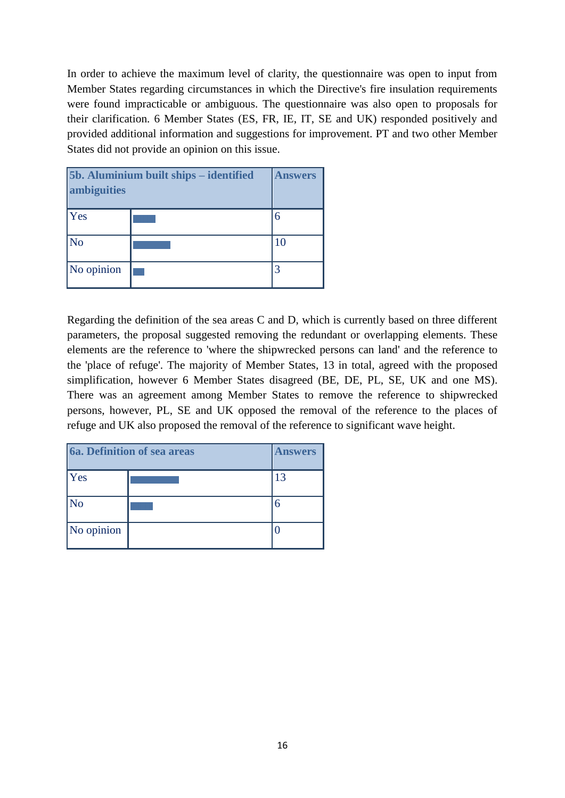In order to achieve the maximum level of clarity, the questionnaire was open to input from Member States regarding circumstances in which the Directive's fire insulation requirements were found impracticable or ambiguous. The questionnaire was also open to proposals for their clarification. 6 Member States (ES, FR, IE, IT, SE and UK) responded positively and provided additional information and suggestions for improvement. PT and two other Member States did not provide an opinion on this issue.

| 5b. Aluminium built ships - identified<br>ambiguities |  | <b>Answers</b> |
|-------------------------------------------------------|--|----------------|
| <b>Yes</b>                                            |  | 6              |
| $\overline{\text{No}}$                                |  | 10             |
| No opinion                                            |  |                |

Regarding the definition of the sea areas C and D, which is currently based on three different parameters, the proposal suggested removing the redundant or overlapping elements. These elements are the reference to 'where the shipwrecked persons can land' and the reference to the 'place of refuge'. The majority of Member States, 13 in total, agreed with the proposed simplification, however 6 Member States disagreed (BE, DE, PL, SE, UK and one MS). There was an agreement among Member States to remove the reference to shipwrecked persons, however, PL, SE and UK opposed the removal of the reference to the places of refuge and UK also proposed the removal of the reference to significant wave height.

| 6a. Definition of sea areas |  | <b>Answers</b> |
|-----------------------------|--|----------------|
| <b>Yes</b>                  |  | 13             |
| $\overline{\text{No}}$      |  | 6              |
| No opinion                  |  |                |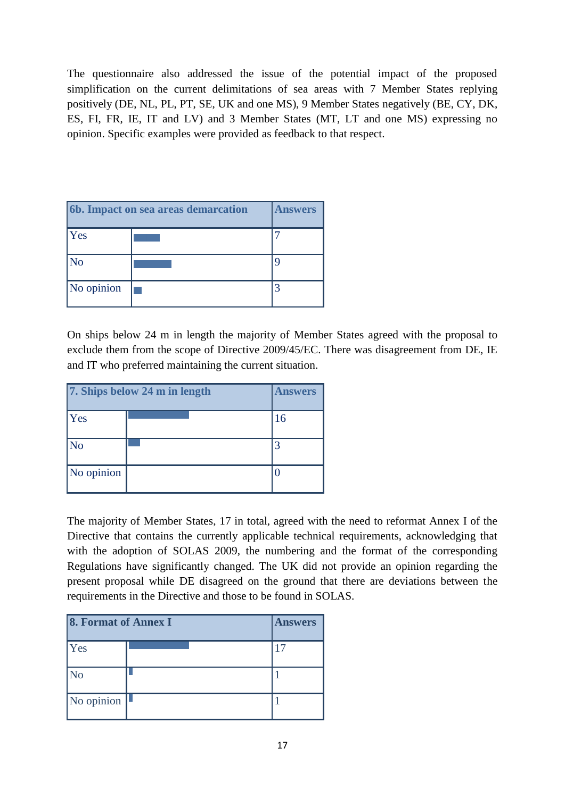The questionnaire also addressed the issue of the potential impact of the proposed simplification on the current delimitations of sea areas with 7 Member States replying positively (DE, NL, PL, PT, SE, UK and one MS), 9 Member States negatively (BE, CY, DK, ES, FI, FR, IE, IT and LV) and 3 Member States (MT, LT and one MS) expressing no opinion. Specific examples were provided as feedback to that respect.

| 6b. Impact on sea areas demarcation |  | <b>Answers</b> |
|-------------------------------------|--|----------------|
| <b>Yes</b>                          |  |                |
| $\overline{\text{No}}$              |  |                |
| No opinion                          |  |                |

On ships below 24 m in length the majority of Member States agreed with the proposal to exclude them from the scope of Directive 2009/45/EC. There was disagreement from DE, IE and IT who preferred maintaining the current situation.

| 7. Ships below 24 m in length |  | <b>Answers</b> |
|-------------------------------|--|----------------|
| <b>Yes</b>                    |  | 16             |
| $\overline{\text{No}}$        |  |                |
| No opinion                    |  |                |

The majority of Member States, 17 in total, agreed with the need to reformat Annex I of the Directive that contains the currently applicable technical requirements, acknowledging that with the adoption of SOLAS 2009, the numbering and the format of the corresponding Regulations have significantly changed. The UK did not provide an opinion regarding the present proposal while DE disagreed on the ground that there are deviations between the requirements in the Directive and those to be found in SOLAS.

| 8. Format of Annex I   |  | <b>Answers</b> |
|------------------------|--|----------------|
| <b>Yes</b>             |  |                |
| $\overline{\text{No}}$ |  |                |
| No opinion $\ $        |  |                |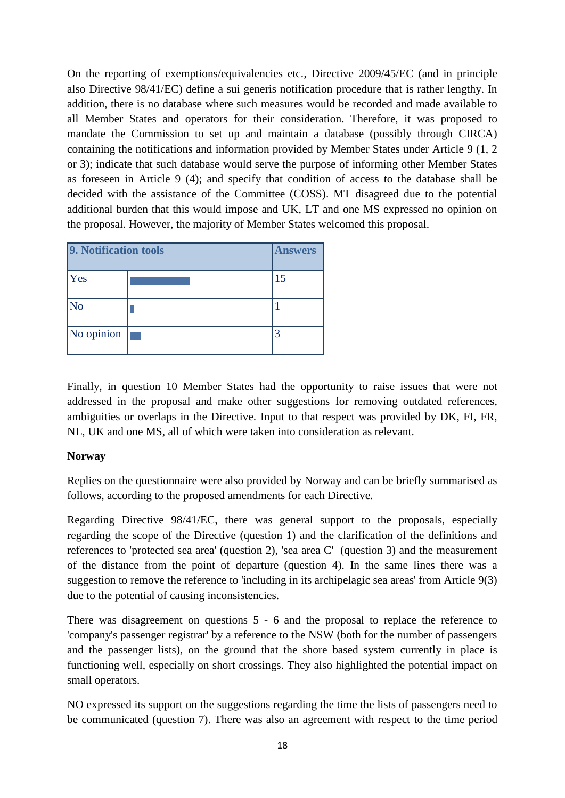On the reporting of exemptions/equivalencies etc., Directive 2009/45/EC (and in principle also Directive 98/41/EC) define a sui generis notification procedure that is rather lengthy. In addition, there is no database where such measures would be recorded and made available to all Member States and operators for their consideration. Therefore, it was proposed to mandate the Commission to set up and maintain a database (possibly through CIRCA) containing the notifications and information provided by Member States under Article 9 (1, 2 or 3); indicate that such database would serve the purpose of informing other Member States as foreseen in Article 9 (4); and specify that condition of access to the database shall be decided with the assistance of the Committee (COSS). MT disagreed due to the potential additional burden that this would impose and UK, LT and one MS expressed no opinion on the proposal. However, the majority of Member States welcomed this proposal.

| 9. Notification tools | <b>Answers</b> |
|-----------------------|----------------|
| <b>Yes</b>            | 15             |
| $\overline{\rm No}$   |                |
| No opinion            |                |

Finally, in question 10 Member States had the opportunity to raise issues that were not addressed in the proposal and make other suggestions for removing outdated references, ambiguities or overlaps in the Directive. Input to that respect was provided by DK, FI, FR, NL, UK and one MS, all of which were taken into consideration as relevant.

#### **Norway**

Replies on the questionnaire were also provided by Norway and can be briefly summarised as follows, according to the proposed amendments for each Directive.

Regarding Directive 98/41/EC, there was general support to the proposals, especially regarding the scope of the Directive (question 1) and the clarification of the definitions and references to 'protected sea area' (question 2), 'sea area C' (question 3) and the measurement of the distance from the point of departure (question 4). In the same lines there was a suggestion to remove the reference to 'including in its archipelagic sea areas' from Article 9(3) due to the potential of causing inconsistencies.

There was disagreement on questions 5 - 6 and the proposal to replace the reference to 'company's passenger registrar' by a reference to the NSW (both for the number of passengers and the passenger lists), on the ground that the shore based system currently in place is functioning well, especially on short crossings. They also highlighted the potential impact on small operators.

NO expressed its support on the suggestions regarding the time the lists of passengers need to be communicated (question 7). There was also an agreement with respect to the time period